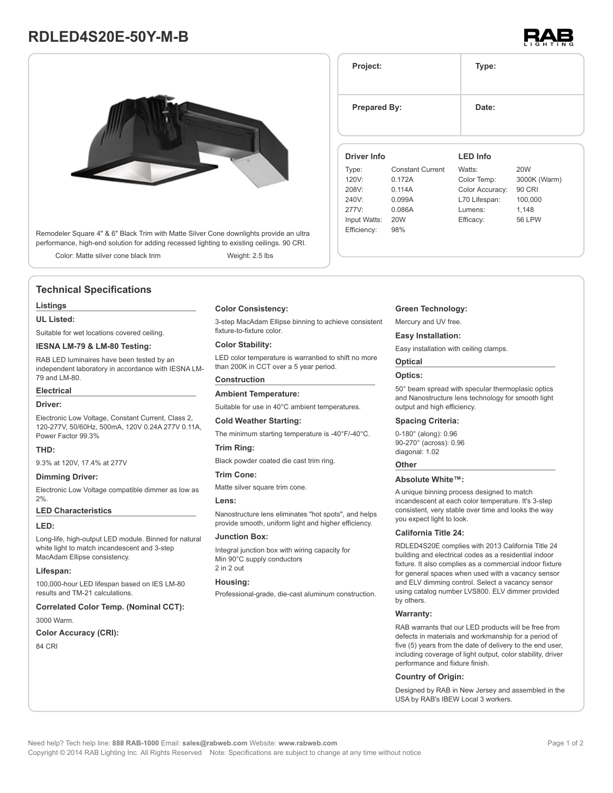# **RDLED4S20E-50Y-M-B**



Remodeler Square 4" & 6" Black Trim with Matte Silver Cone downlights provide an ultra performance, high-end solution for adding recessed lighting to existing ceilings. 90 CRI.

Color: Matte silver cone black trim Weight: 2.5 lbs

# **Technical Specifications**

#### **Listings**

## **UL Listed:**

Suitable for wet locations covered ceiling.

## **IESNA LM-79 & LM-80 Testing:**

RAB LED luminaires have been tested by an independent laboratory in accordance with IESNA LM-79 and LM-80.

#### **Electrical**

#### **Driver:**

Electronic Low Voltage, Constant Current, Class 2, 120-277V, 50/60Hz, 500mA, 120V 0.24A 277V 0.11A, Power Factor 99.3%

#### **THD:**

9.3% at 120V, 17.4% at 277V

## **Dimming Driver:**

Electronic Low Voltage compatible dimmer as low as 2%.

#### **LED Characteristics**

#### **LED:**

Long-life, high-output LED module. Binned for natural white light to match incandescent and 3-step MacAdam Ellipse consistency.

## **Lifespan:**

100,000-hour LED lifespan based on IES LM-80 results and TM-21 calculations.

### **Correlated Color Temp. (Nominal CCT):**

3000 Warm.

## **Color Accuracy (CRI):**

84 CRI

## **Color Consistency:**

3-step MacAdam Ellipse binning to achieve consistent fixture-to-fixture color.

## **Color Stability:**

LED color temperature is warrantied to shift no more than 200K in CCT over a 5 year period.

# **Construction**

Suitable for use in 40°C ambient temperatures.

#### **Cold Weather Starting:**

**Ambient Temperature:**

The minimum starting temperature is -40°F/-40°C.

#### **Trim Ring:**

Black powder coated die cast trim ring.

## **Trim Cone:**

Matte silver square trim cone.

#### **Lens:**

Nanostructure lens eliminates "hot spots", and helps provide smooth, uniform light and higher efficiency.

## **Junction Box:**

Integral junction box with wiring capacity for Min 90°C supply conductors 2 in 2 out

### **Housing:**

Professional-grade, die-cast aluminum construction.

## **Green Technology:**

Mercury and UV free.

#### **Easy Installation:**

Easy installation with ceiling clamps.

# **Optical**

## **Optics:**

50° beam spread with specular thermoplasic optics and Nanostructure lens technology for smooth light output and high efficiency.

#### **Spacing Criteria:**

0-180° (along): 0.96 90-270° (across): 0.96 diagonal: 1.02

#### **Other**

#### **Absolute White™:**

A unique binning process designed to match incandescent at each color temperature. It's 3-step consistent, very stable over time and looks the way you expect light to look.

#### **California Title 24:**

RDLED4S20E complies with 2013 California Title 24 building and electrical codes as a residential indoor fixture. It also complies as a commercial indoor fixture for general spaces when used with a vacancy sensor and ELV dimming control. Select a vacancy sensor using catalog number LVS800. ELV dimmer provided by others.

#### **Warranty:**

RAB warrants that our LED products will be free from defects in materials and workmanship for a period of five (5) years from the date of delivery to the end user, including coverage of light output, color stability, driver performance and fixture finish.

#### **Country of Origin:**

Designed by RAB in New Jersey and assembled in the USA by RAB's IBEW Local 3 workers.



**Project: Type: Prepared By:** Date: **Driver Info** Type: Constant Current 120V: 0.172A 208V: 0.114A 240V: 0.099A 277V: 0.086A Input Watts: 20W Efficiency: 98% **LED Info** Watts: 20W Color Temp: 3000K (Warm) Color Accuracy: 90 CRI L70 Lifespan: 100,000 Lumens: 1,148 Efficacy: 56 LPW